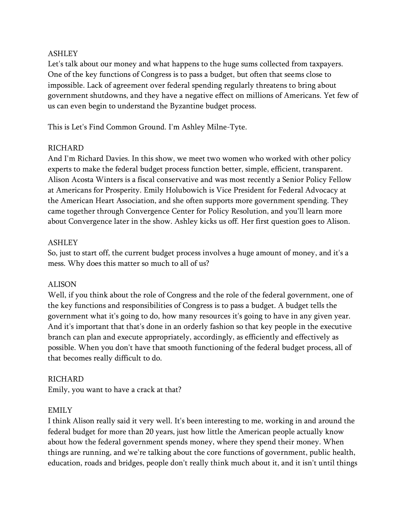### ASHLEY

Let's talk about our money and what happens to the huge sums collected from taxpayers. One of the key functions of Congress is to pass a budget, but often that seems close to impossible. Lack of agreement over federal spending regularly threatens to bring about government shutdowns, and they have a negative effect on millions of Americans. Yet few of us can even begin to understand the Byzantine budget process.

This is Let's Find Common Ground. I'm Ashley Milne-Tyte.

### RICHARD

And I'm Richard Davies. In this show, we meet two women who worked with other policy experts to make the federal budget process function better, simple, efficient, transparent. Alison Acosta Winters is a fiscal conservative and was most recently a Senior Policy Fellow at Americans for Prosperity. Emily Holubowich is Vice President for Federal Advocacy at the American Heart Association, and she often supports more government spending. They came together through Convergence Center for Policy Resolution, and you'll learn more about Convergence later in the show. Ashley kicks us off. Her first question goes to Alison.

### ASHLEY

So, just to start off, the current budget process involves a huge amount of money, and it's a mess. Why does this matter so much to all of us?

### ALISON

Well, if you think about the role of Congress and the role of the federal government, one of the key functions and responsibilities of Congress is to pass a budget. A budget tells the government what it's going to do, how many resources it's going to have in any given year. And it's important that that's done in an orderly fashion so that key people in the executive branch can plan and execute appropriately, accordingly, as efficiently and effectively as possible. When you don't have that smooth functioning of the federal budget process, all of that becomes really difficult to do.

### RICHARD

Emily, you want to have a crack at that?

### EMILY

I think Alison really said it very well. It's been interesting to me, working in and around the federal budget for more than 20 years, just how little the American people actually know about how the federal government spends money, where they spend their money. When things are running, and we're talking about the core functions of government, public health, education, roads and bridges, people don't really think much about it, and it isn't until things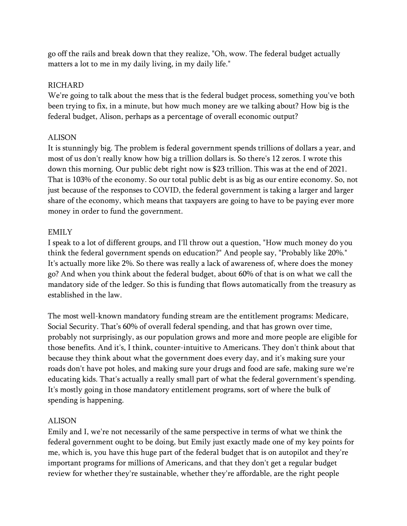go off the rails and break down that they realize, "Oh, wow. The federal budget actually matters a lot to me in my daily living, in my daily life."

### RICHARD

We're going to talk about the mess that is the federal budget process, something you've both been trying to fix, in a minute, but how much money are we talking about? How big is the federal budget, Alison, perhaps as a percentage of overall economic output?

#### ALISON

It is stunningly big. The problem is federal government spends trillions of dollars a year, and most of us don't really know how big a trillion dollars is. So there's 12 zeros. I wrote this down this morning. Our public debt right now is \$23 trillion. This was at the end of 2021. That is 103% of the economy. So our total public debt is as big as our entire economy. So, not just because of the responses to COVID, the federal government is taking a larger and larger share of the economy, which means that taxpayers are going to have to be paying ever more money in order to fund the government.

#### EMILY

I speak to a lot of different groups, and I'll throw out a question, "How much money do you think the federal government spends on education?" And people say, "Probably like 20%." It's actually more like 2%. So there was really a lack of awareness of, where does the money go? And when you think about the federal budget, about 60% of that is on what we call the mandatory side of the ledger. So this is funding that flows automatically from the treasury as established in the law.

The most well-known mandatory funding stream are the entitlement programs: Medicare, Social Security. That's 60% of overall federal spending, and that has grown over time, probably not surprisingly, as our population grows and more and more people are eligible for those benefits. And it's, I think, counter-intuitive to Americans. They don't think about that because they think about what the government does every day, and it's making sure your roads don't have pot holes, and making sure your drugs and food are safe, making sure we're educating kids. That's actually a really small part of what the federal government's spending. It's mostly going in those mandatory entitlement programs, sort of where the bulk of spending is happening.

#### ALISON

Emily and I, we're not necessarily of the same perspective in terms of what we think the federal government ought to be doing, but Emily just exactly made one of my key points for me, which is, you have this huge part of the federal budget that is on autopilot and they're important programs for millions of Americans, and that they don't get a regular budget review for whether they're sustainable, whether they're affordable, are the right people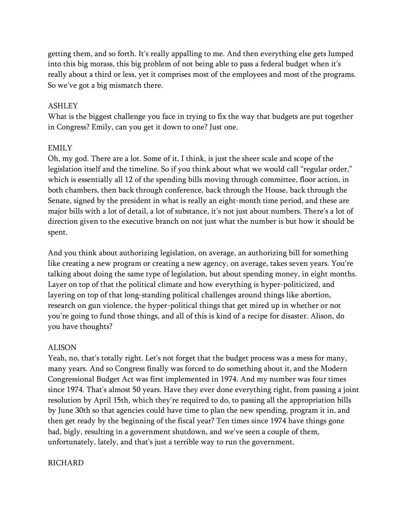getting them, and so forth. It's really appalling to me. And then everything else gets lumped into this big morass, this big problem of not being able to pass a federal budget when it's really about a third or less, yet it comprises most of the employees and most of the programs. So we've got a big mismatch there.

#### ASHLEY

What is the biggest challenge you face in trying to fix the way that budgets are put together in Congress? Emily, can you get it down to one? Just one.

#### EMILY

Oh, my god. There are a lot. Some of it, I think, is just the sheer scale and scope of the legislation itself and the timeline. So if you think about what we would call "regular order," which is essentially all 12 of the spending bills moving through committee, floor action, in both chambers, then back through conference, back through the House, back through the Senate, signed by the president in what is really an eight-month time period, and these are major bills with a lot of detail, a lot of substance, it's not just about numbers. There's a lot of direction given to the executive branch on not just what the number is but how it should be spent.

And you think about authorizing legislation, on average, an authorizing bill for something like creating a new program or creating a new agency, on average, takes seven years. You're talking about doing the same type of legislation, but about spending money, in eight months. Layer on top of that the political climate and how everything is hyper-politicized, and layering on top of that long-standing political challenges around things like abortion, research on gun violence, the hyper-political things that get mired up in whether or not you're going to fund those things, and all of this is kind of a recipe for disaster. Alison, do you have thoughts?

#### ALISON

Yeah, no, that's totally right. Let's not forget that the budget process was a mess for many, many years. And so Congress finally was forced to do something about it, and the Modern Congressional Budget Act was first implemented in 1974. And my number was four times since 1974. That's almost 50 years. Have they ever done everything right, from passing a joint resolution by April 15th, which they're required to do, to passing all the appropriation bills by June 30th so that agencies could have time to plan the new spending, program it in, and then get ready by the beginning of the fiscal year? Ten times since 1974 have things gone bad, bigly, resulting in a government shutdown, and we've seen a couple of them, unfortunately, lately, and that's just a terrible way to run the government.

#### RICHARD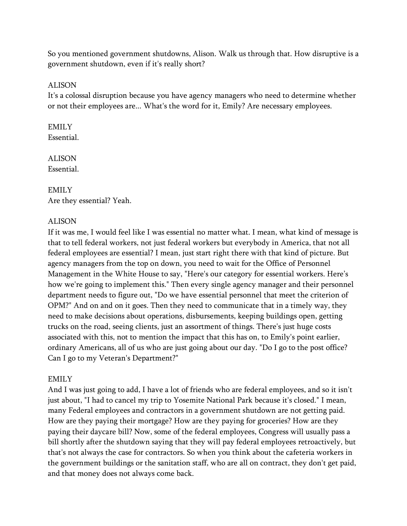So you mentioned government shutdowns, Alison. Walk us through that. How disruptive is a government shutdown, even if it's really short?

#### ALISON

It's a colossal disruption because you have agency managers who need to determine whether or not their employees are... What's the word for it, Emily? Are necessary employees.

#### EMILY Essential.

ALISON Essential.

# EMILY Are they essential? Yeah.

### ALISON

If it was me, I would feel like I was essential no matter what. I mean, what kind of message is that to tell federal workers, not just federal workers but everybody in America, that not all federal employees are essential? I mean, just start right there with that kind of picture. But agency managers from the top on down, you need to wait for the Office of Personnel Management in the White House to say, "Here's our category for essential workers. Here's how we're going to implement this." Then every single agency manager and their personnel department needs to figure out, "Do we have essential personnel that meet the criterion of OPM?" And on and on it goes. Then they need to communicate that in a timely way, they need to make decisions about operations, disbursements, keeping buildings open, getting trucks on the road, seeing clients, just an assortment of things. There's just huge costs associated with this, not to mention the impact that this has on, to Emily's point earlier, ordinary Americans, all of us who are just going about our day. "Do I go to the post office? Can I go to my Veteran's Department?"

### EMILY

And I was just going to add, I have a lot of friends who are federal employees, and so it isn't just about, "I had to cancel my trip to Yosemite National Park because it's closed." I mean, many Federal employees and contractors in a government shutdown are not getting paid. How are they paying their mortgage? How are they paying for groceries? How are they paying their daycare bill? Now, some of the federal employees, Congress will usually pass a bill shortly after the shutdown saying that they will pay federal employees retroactively, but that's not always the case for contractors. So when you think about the cafeteria workers in the government buildings or the sanitation staff, who are all on contract, they don't get paid, and that money does not always come back.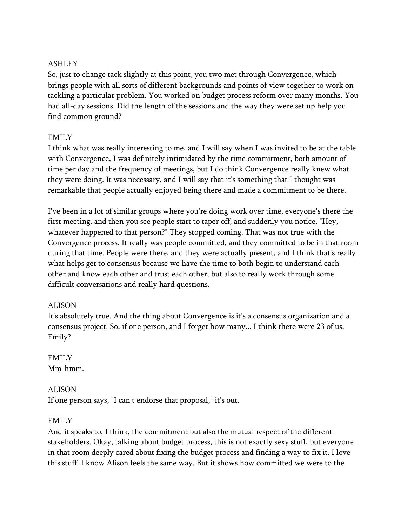# ASHLEY

So, just to change tack slightly at this point, you two met through Convergence, which brings people with all sorts of different backgrounds and points of view together to work on tackling a particular problem. You worked on budget process reform over many months. You had all-day sessions. Did the length of the sessions and the way they were set up help you find common ground?

# EMILY

I think what was really interesting to me, and I will say when I was invited to be at the table with Convergence, I was definitely intimidated by the time commitment, both amount of time per day and the frequency of meetings, but I do think Convergence really knew what they were doing. It was necessary, and I will say that it's something that I thought was remarkable that people actually enjoyed being there and made a commitment to be there.

I've been in a lot of similar groups where you're doing work over time, everyone's there the first meeting, and then you see people start to taper off, and suddenly you notice, "Hey, whatever happened to that person?" They stopped coming. That was not true with the Convergence process. It really was people committed, and they committed to be in that room during that time. People were there, and they were actually present, and I think that's really what helps get to consensus because we have the time to both begin to understand each other and know each other and trust each other, but also to really work through some difficult conversations and really hard questions.

# ALISON

It's absolutely true. And the thing about Convergence is it's a consensus organization and a consensus project. So, if one person, and I forget how many... I think there were 23 of us, Emily?

EMILY Mm-hmm.

# **ALISON**

If one person says, "I can't endorse that proposal," it's out.

### EMILY

And it speaks to, I think, the commitment but also the mutual respect of the different stakeholders. Okay, talking about budget process, this is not exactly sexy stuff, but everyone in that room deeply cared about fixing the budget process and finding a way to fix it. I love this stuff. I know Alison feels the same way. But it shows how committed we were to the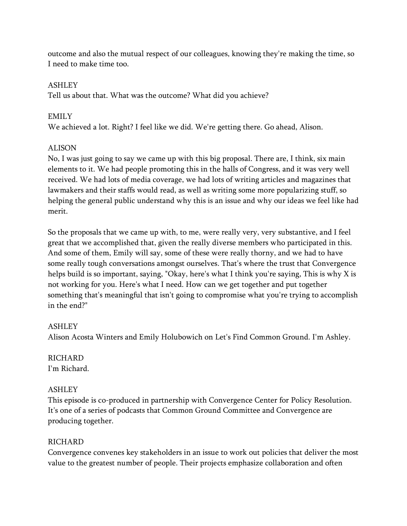outcome and also the mutual respect of our colleagues, knowing they're making the time, so I need to make time too.

### ASHLEY

Tell us about that. What was the outcome? What did you achieve?

### EMILY

We achieved a lot. Right? I feel like we did. We're getting there. Go ahead, Alison.

# **ALISON**

No, I was just going to say we came up with this big proposal. There are, I think, six main elements to it. We had people promoting this in the halls of Congress, and it was very well received. We had lots of media coverage, we had lots of writing articles and magazines that lawmakers and their staffs would read, as well as writing some more popularizing stuff, so helping the general public understand why this is an issue and why our ideas we feel like had merit.

So the proposals that we came up with, to me, were really very, very substantive, and I feel great that we accomplished that, given the really diverse members who participated in this. And some of them, Emily will say, some of these were really thorny, and we had to have some really tough conversations amongst ourselves. That's where the trust that Convergence helps build is so important, saying, "Okay, here's what I think you're saying, This is why X is not working for you. Here's what I need. How can we get together and put together something that's meaningful that isn't going to compromise what you're trying to accomplish in the end?"

# ASHLEY

Alison Acosta Winters and Emily Holubowich on Let's Find Common Ground. I'm Ashley.

### RICHARD I'm Richard.

# ASHLEY

This episode is co-produced in partnership with Convergence Center for Policy Resolution. It's one of a series of podcasts that Common Ground Committee and Convergence are producing together.

### **RICHARD**

Convergence convenes key stakeholders in an issue to work out policies that deliver the most value to the greatest number of people. Their projects emphasize collaboration and often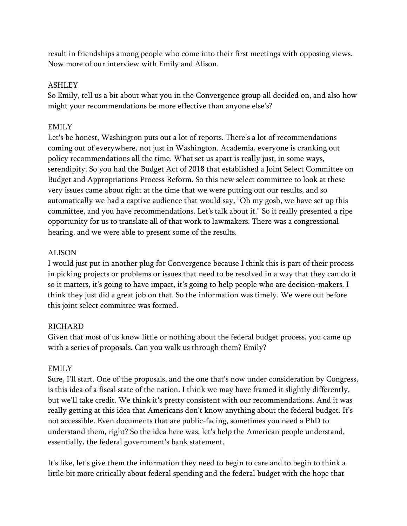result in friendships among people who come into their first meetings with opposing views. Now more of our interview with Emily and Alison.

### ASHLEY

So Emily, tell us a bit about what you in the Convergence group all decided on, and also how might your recommendations be more effective than anyone else's?

### EMILY

Let's be honest, Washington puts out a lot of reports. There's a lot of recommendations coming out of everywhere, not just in Washington. Academia, everyone is cranking out policy recommendations all the time. What set us apart is really just, in some ways, serendipity. So you had the Budget Act of 2018 that established a Joint Select Committee on Budget and Appropriations Process Reform. So this new select committee to look at these very issues came about right at the time that we were putting out our results, and so automatically we had a captive audience that would say, "Oh my gosh, we have set up this committee, and you have recommendations. Let's talk about it." So it really presented a ripe opportunity for us to translate all of that work to lawmakers. There was a congressional hearing, and we were able to present some of the results.

### ALISON

I would just put in another plug for Convergence because I think this is part of their process in picking projects or problems or issues that need to be resolved in a way that they can do it so it matters, it's going to have impact, it's going to help people who are decision-makers. I think they just did a great job on that. So the information was timely. We were out before this joint select committee was formed.

# **RICHARD**

Given that most of us know little or nothing about the federal budget process, you came up with a series of proposals. Can you walk us through them? Emily?

### EMILY

Sure, I'll start. One of the proposals, and the one that's now under consideration by Congress, is this idea of a fiscal state of the nation. I think we may have framed it slightly differently, but we'll take credit. We think it's pretty consistent with our recommendations. And it was really getting at this idea that Americans don't know anything about the federal budget. It's not accessible. Even documents that are public-facing, sometimes you need a PhD to understand them, right? So the idea here was, let's help the American people understand, essentially, the federal government's bank statement.

It's like, let's give them the information they need to begin to care and to begin to think a little bit more critically about federal spending and the federal budget with the hope that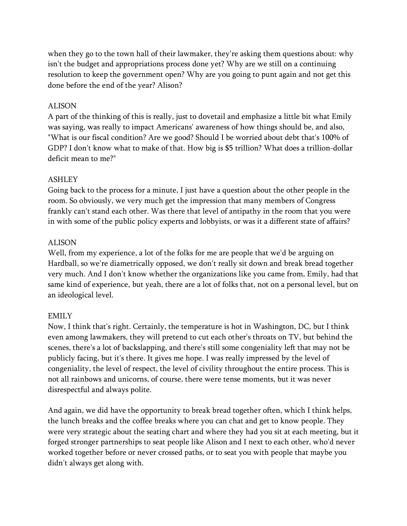when they go to the town hall of their lawmaker, they're asking them questions about: why isn't the budget and appropriations process done yet? Why are we still on a continuing resolution to keep the government open? Why are you going to punt again and not get this done before the end of the year? Alison?

#### ALISON

A part of the thinking of this is really, just to dovetail and emphasize a little bit what Emily was saying, was really to impact Americans' awareness of how things should be, and also, "What is our fiscal condition? Are we good? Should I be worried about debt that's 100% of GDP? I don't know what to make of that. How big is \$5 trillion? What does a trillion-dollar deficit mean to me?"

#### ASHLEY

Going back to the process for a minute, I just have a question about the other people in the room. So obviously, we very much get the impression that many members of Congress frankly can't stand each other. Was there that level of antipathy in the room that you were in with some of the public policy experts and lobbyists, or was it a different state of affairs?

#### ALISON

Well, from my experience, a lot of the folks for me are people that we'd be arguing on Hardball, so we're diametrically opposed, we don't really sit down and break bread together very much. And I don't know whether the organizations like you came from, Emily, had that same kind of experience, but yeah, there are a lot of folks that, not on a personal level, but on an ideological level.

### EMILY

Now, I think that's right. Certainly, the temperature is hot in Washington, DC, but I think even among lawmakers, they will pretend to cut each other's throats on TV, but behind the scenes, there's a lot of backslapping, and there's still some congeniality left that may not be publicly facing, but it's there. It gives me hope. I was really impressed by the level of congeniality, the level of respect, the level of civility throughout the entire process. This is not all rainbows and unicorns, of course, there were tense moments, but it was never disrespectful and always polite.

And again, we did have the opportunity to break bread together often, which I think helps, the lunch breaks and the coffee breaks where you can chat and get to know people. They were very strategic about the seating chart and where they had you sit at each meeting, but it forged stronger partnerships to seat people like Alison and I next to each other, who'd never worked together before or never crossed paths, or to seat you with people that maybe you didn't always get along with.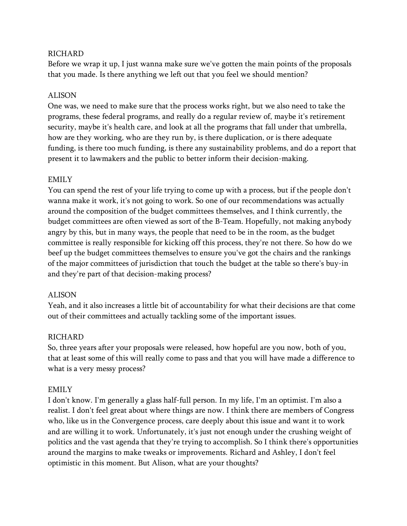### **RICHARD**

Before we wrap it up, I just wanna make sure we've gotten the main points of the proposals that you made. Is there anything we left out that you feel we should mention?

### ALISON

One was, we need to make sure that the process works right, but we also need to take the programs, these federal programs, and really do a regular review of, maybe it's retirement security, maybe it's health care, and look at all the programs that fall under that umbrella, how are they working, who are they run by, is there duplication, or is there adequate funding, is there too much funding, is there any sustainability problems, and do a report that present it to lawmakers and the public to better inform their decision-making.

### EMILY

You can spend the rest of your life trying to come up with a process, but if the people don't wanna make it work, it's not going to work. So one of our recommendations was actually around the composition of the budget committees themselves, and I think currently, the budget committees are often viewed as sort of the B-Team. Hopefully, not making anybody angry by this, but in many ways, the people that need to be in the room, as the budget committee is really responsible for kicking off this process, they're not there. So how do we beef up the budget committees themselves to ensure you've got the chairs and the rankings of the major committees of jurisdiction that touch the budget at the table so there's buy-in and they're part of that decision-making process?

### ALISON

Yeah, and it also increases a little bit of accountability for what their decisions are that come out of their committees and actually tackling some of the important issues.

### RICHARD

So, three years after your proposals were released, how hopeful are you now, both of you, that at least some of this will really come to pass and that you will have made a difference to what is a very messy process?

### EMILY

I don't know. I'm generally a glass half-full person. In my life, I'm an optimist. I'm also a realist. I don't feel great about where things are now. I think there are members of Congress who, like us in the Convergence process, care deeply about this issue and want it to work and are willing it to work. Unfortunately, it's just not enough under the crushing weight of politics and the vast agenda that they're trying to accomplish. So I think there's opportunities around the margins to make tweaks or improvements. Richard and Ashley, I don't feel optimistic in this moment. But Alison, what are your thoughts?